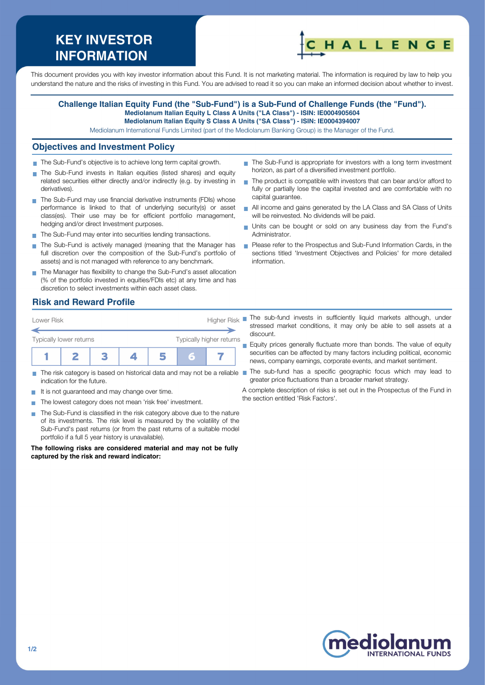# **KEY INVESTOR INFORMATION**



This document provides you with key investor information about this Fund. It is not marketing material. The information is required by law to help you understand the nature and the risks of investing in this Fund. You are advised to read it so you can make an informed decision about whether to invest.

#### **Challenge Italian Equity Fund (the "Sub-Fund") is a Sub-Fund of Challenge Funds (the "Fund"). Mediolanum Italian Equity L Class A Units ("LA Class") - ISIN: IE0004905604 Mediolanum Italian Equity S Class A Units ("SA Class") - ISIN: IE0004394007**

## Mediolanum International Funds Limited (part of the Mediolanum Banking Group) is the Manager of the Fund.

#### **Objectives and Investment Policy**

- The Sub-Fund's objective is to achieve long term capital growth.
- The Sub-Fund invests in Italian equities (listed shares) and equity related securities either directly and/or indirectly (e.g. by investing in derivatives).
- The Sub-Fund may use financial derivative instruments (FDIs) whose performance is linked to that of underlying security(s) or asset class(es). Their use may be for efficient portfolio management, hedging and/or direct Investment purposes.
- The Sub-Fund may enter into securities lending transactions.
- The Sub-Fund is actively managed (meaning that the Manager has full discretion over the composition of the Sub-Fund's portfolio of assets) and is not managed with reference to any benchmark.
- The Manager has flexibility to change the Sub-Fund's asset allocation (% of the portfolio invested in equities/FDIs etc) at any time and has discretion to select investments within each asset class.

### **Risk and Reward Profile**

| Lower Risk              |  |  |                          |  | <b>Higher Risk</b> |  |  |
|-------------------------|--|--|--------------------------|--|--------------------|--|--|
| Typically lower returns |  |  | Typically higher returns |  |                    |  |  |
|                         |  |  |                          |  | Ξ                  |  |  |

- $\sim$ indication for the future.
- It is not guaranteed and may change over time.
- The lowest category does not mean 'risk free' investment.  $\sim$
- The Sub-Fund is classified in the risk category above due to the nature of its investments. The risk level is measured by the volatility of the Sub-Fund's past returns (or from the past returns of a suitable model portfolio if a full 5 year history is unavailable).

**The following risks are considered material and may not be fully captured by the risk and reward indicator:**

- The Sub-Fund is appropriate for investors with a long term investment horizon, as part of a diversified investment portfolio.
- The product is compatible with investors that can bear and/or afford to fully or partially lose the capital invested and are comfortable with no capital guarantee.
- All income and gains generated by the LA Class and SA Class of Units will be reinvested. No dividends will be paid.
- Units can be bought or sold on any business day from the Fund's Administrator.
- Please refer to the Prospectus and Sub-Fund Information Cards, in the sections titled 'Investment Objectives and Policies' for more detailed information.
- The sub-fund invests in sufficiently liquid markets although, under stressed market conditions, it may only be able to sell assets at a discount.

Equity prices generally fluctuate more than bonds. The value of equity securities can be affected by many factors including political, economic news, company earnings, corporate events, and market sentiment.

The risk category is based on historical data and may not be a reliable The sub-fund has a specific geographic focus which may lead to greater price fluctuations than a broader market strategy.

> A complete description of risks is set out in the Prospectus of the Fund in the section entitled 'Risk Factors'.